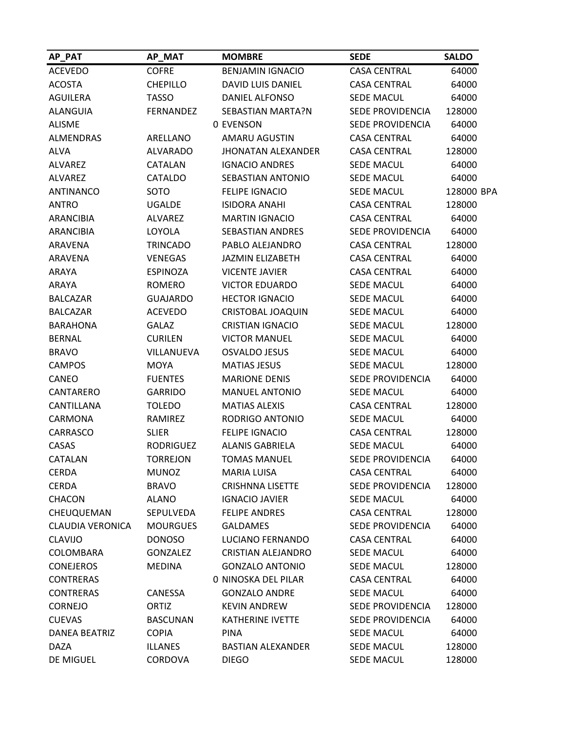| AP_PAT                  | AP_MAT           | <b>MOMBRE</b>             | <b>SEDE</b>             | <b>SALDO</b> |
|-------------------------|------------------|---------------------------|-------------------------|--------------|
| <b>ACEVEDO</b>          | <b>COFRE</b>     | <b>BENJAMIN IGNACIO</b>   | <b>CASA CENTRAL</b>     | 64000        |
| <b>ACOSTA</b>           | <b>CHEPILLO</b>  | DAVID LUIS DANIEL         | <b>CASA CENTRAL</b>     | 64000        |
| <b>AGUILERA</b>         | <b>TASSO</b>     | DANIEL ALFONSO            | <b>SEDE MACUL</b>       | 64000        |
| <b>ALANGUIA</b>         | <b>FERNANDEZ</b> | SEBASTIAN MARTA?N         | SEDE PROVIDENCIA        | 128000       |
| <b>ALISME</b>           |                  | 0 EVENSON                 | SEDE PROVIDENCIA        | 64000        |
| <b>ALMENDRAS</b>        | ARELLANO         | <b>AMARU AGUSTIN</b>      | <b>CASA CENTRAL</b>     | 64000        |
| <b>ALVA</b>             | <b>ALVARADO</b>  | <b>JHONATAN ALEXANDER</b> | <b>CASA CENTRAL</b>     | 128000       |
| ALVAREZ                 | CATALAN          | <b>IGNACIO ANDRES</b>     | <b>SEDE MACUL</b>       | 64000        |
| ALVAREZ                 | <b>CATALDO</b>   | SEBASTIAN ANTONIO         | <b>SEDE MACUL</b>       | 64000        |
| <b>ANTINANCO</b>        | SOTO             | <b>FELIPE IGNACIO</b>     | <b>SEDE MACUL</b>       | 128000 BPA   |
| <b>ANTRO</b>            | <b>UGALDE</b>    | <b>ISIDORA ANAHI</b>      | <b>CASA CENTRAL</b>     | 128000       |
| <b>ARANCIBIA</b>        | <b>ALVAREZ</b>   | <b>MARTIN IGNACIO</b>     | <b>CASA CENTRAL</b>     | 64000        |
| <b>ARANCIBIA</b>        | LOYOLA           | <b>SEBASTIAN ANDRES</b>   | SEDE PROVIDENCIA        | 64000        |
| <b>ARAVENA</b>          | <b>TRINCADO</b>  | PABLO ALEJANDRO           | <b>CASA CENTRAL</b>     | 128000       |
| ARAVENA                 | <b>VENEGAS</b>   | <b>JAZMIN ELIZABETH</b>   | <b>CASA CENTRAL</b>     | 64000        |
| ARAYA                   | <b>ESPINOZA</b>  | <b>VICENTE JAVIER</b>     | <b>CASA CENTRAL</b>     | 64000        |
| ARAYA                   | <b>ROMERO</b>    | <b>VICTOR EDUARDO</b>     | <b>SEDE MACUL</b>       | 64000        |
| <b>BALCAZAR</b>         | <b>GUAJARDO</b>  | <b>HECTOR IGNACIO</b>     | <b>SEDE MACUL</b>       | 64000        |
| <b>BALCAZAR</b>         | <b>ACEVEDO</b>   | <b>CRISTOBAL JOAQUIN</b>  | <b>SEDE MACUL</b>       | 64000        |
| <b>BARAHONA</b>         | <b>GALAZ</b>     | <b>CRISTIAN IGNACIO</b>   | <b>SEDE MACUL</b>       | 128000       |
| <b>BERNAL</b>           | <b>CURILEN</b>   | <b>VICTOR MANUEL</b>      | <b>SEDE MACUL</b>       | 64000        |
| <b>BRAVO</b>            | VILLANUEVA       | <b>OSVALDO JESUS</b>      | <b>SEDE MACUL</b>       | 64000        |
| <b>CAMPOS</b>           | <b>MOYA</b>      | <b>MATIAS JESUS</b>       | <b>SEDE MACUL</b>       | 128000       |
| CANEO                   | <b>FUENTES</b>   | <b>MARIONE DENIS</b>      | <b>SEDE PROVIDENCIA</b> | 64000        |
| CANTARERO               | <b>GARRIDO</b>   | <b>MANUEL ANTONIO</b>     | <b>SEDE MACUL</b>       | 64000        |
| CANTILLANA              | <b>TOLEDO</b>    | <b>MATIAS ALEXIS</b>      | <b>CASA CENTRAL</b>     | 128000       |
| CARMONA                 | RAMIREZ          | RODRIGO ANTONIO           | <b>SEDE MACUL</b>       | 64000        |
| CARRASCO                | <b>SLIER</b>     | <b>FELIPE IGNACIO</b>     | <b>CASA CENTRAL</b>     | 128000       |
| CASAS                   | <b>RODRIGUEZ</b> | <b>ALANIS GABRIELA</b>    | <b>SEDE MACUL</b>       | 64000        |
| <b>CATALAN</b>          | <b>TORREJON</b>  | <b>TOMAS MANUEL</b>       | SEDE PROVIDENCIA        | 64000        |
| <b>CERDA</b>            | <b>MUNOZ</b>     | <b>MARIA LUISA</b>        | <b>CASA CENTRAL</b>     | 64000        |
| <b>CERDA</b>            | <b>BRAVO</b>     | <b>CRISHNNA LISETTE</b>   | SEDE PROVIDENCIA        | 128000       |
| CHACON                  | <b>ALANO</b>     | <b>IGNACIO JAVIER</b>     | <b>SEDE MACUL</b>       | 64000        |
| CHEUQUEMAN              | SEPULVEDA        | <b>FELIPE ANDRES</b>      | <b>CASA CENTRAL</b>     | 128000       |
| <b>CLAUDIA VERONICA</b> | <b>MOURGUES</b>  | <b>GALDAMES</b>           | SEDE PROVIDENCIA        | 64000        |
| <b>CLAVIJO</b>          | <b>DONOSO</b>    | <b>LUCIANO FERNANDO</b>   | <b>CASA CENTRAL</b>     | 64000        |
| COLOMBARA               | <b>GONZALEZ</b>  | <b>CRISTIAN ALEJANDRO</b> | SEDE MACUL              | 64000        |
| <b>CONEJEROS</b>        | <b>MEDINA</b>    | <b>GONZALO ANTONIO</b>    | SEDE MACUL              | 128000       |
| <b>CONTRERAS</b>        |                  | 0 NINOSKA DEL PILAR       | <b>CASA CENTRAL</b>     | 64000        |
| <b>CONTRERAS</b>        | CANESSA          | <b>GONZALO ANDRE</b>      | <b>SEDE MACUL</b>       | 64000        |
| <b>CORNEJO</b>          | ORTIZ            | <b>KEVIN ANDREW</b>       | SEDE PROVIDENCIA        | 128000       |
| <b>CUEVAS</b>           | <b>BASCUNAN</b>  | <b>KATHERINE IVETTE</b>   | SEDE PROVIDENCIA        | 64000        |
| <b>DANEA BEATRIZ</b>    | <b>COPIA</b>     | <b>PINA</b>               | SEDE MACUL              | 64000        |
| <b>DAZA</b>             | <b>ILLANES</b>   | <b>BASTIAN ALEXANDER</b>  | <b>SEDE MACUL</b>       | 128000       |
| DE MIGUEL               | CORDOVA          | <b>DIEGO</b>              | SEDE MACUL              | 128000       |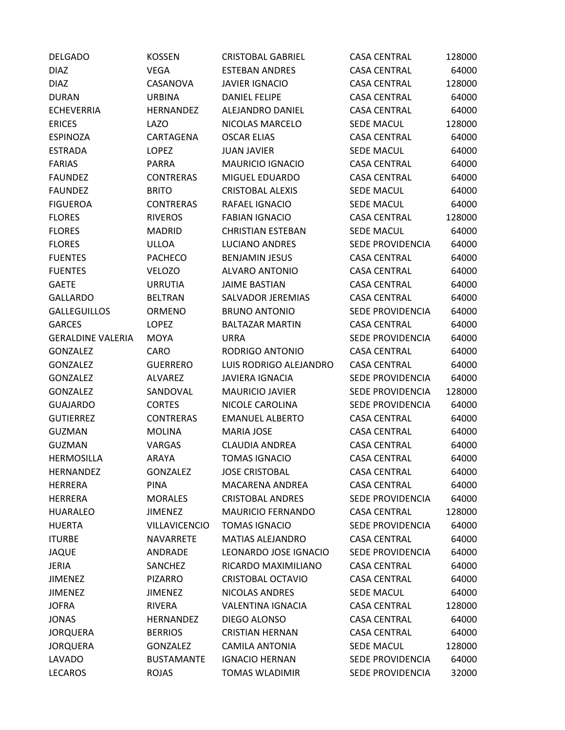| <b>DELGADO</b>           | <b>KOSSEN</b>     | <b>CRISTOBAL GABRIEL</b> | <b>CASA CENTRAL</b>     | 128000 |
|--------------------------|-------------------|--------------------------|-------------------------|--------|
| <b>DIAZ</b>              | <b>VEGA</b>       | <b>ESTEBAN ANDRES</b>    | <b>CASA CENTRAL</b>     | 64000  |
| <b>DIAZ</b>              | CASANOVA          | <b>JAVIER IGNACIO</b>    | <b>CASA CENTRAL</b>     | 128000 |
| <b>DURAN</b>             | <b>URBINA</b>     | <b>DANIEL FELIPE</b>     | <b>CASA CENTRAL</b>     | 64000  |
| <b>ECHEVERRIA</b>        | HERNANDEZ         | ALEJANDRO DANIEL         | <b>CASA CENTRAL</b>     | 64000  |
| <b>ERICES</b>            | <b>LAZO</b>       | NICOLAS MARCELO          | <b>SEDE MACUL</b>       | 128000 |
| <b>ESPINOZA</b>          | CARTAGENA         | <b>OSCAR ELIAS</b>       | <b>CASA CENTRAL</b>     | 64000  |
| <b>ESTRADA</b>           | <b>LOPEZ</b>      | <b>JUAN JAVIER</b>       | <b>SEDE MACUL</b>       | 64000  |
| <b>FARIAS</b>            | PARRA             | <b>MAURICIO IGNACIO</b>  | <b>CASA CENTRAL</b>     | 64000  |
| <b>FAUNDEZ</b>           | <b>CONTRERAS</b>  | MIGUEL EDUARDO           | <b>CASA CENTRAL</b>     | 64000  |
| <b>FAUNDEZ</b>           | <b>BRITO</b>      | <b>CRISTOBAL ALEXIS</b>  | <b>SEDE MACUL</b>       | 64000  |
| <b>FIGUEROA</b>          | <b>CONTRERAS</b>  | RAFAEL IGNACIO           | <b>SEDE MACUL</b>       | 64000  |
| <b>FLORES</b>            | <b>RIVEROS</b>    | <b>FABIAN IGNACIO</b>    | <b>CASA CENTRAL</b>     | 128000 |
| <b>FLORES</b>            | <b>MADRID</b>     | <b>CHRISTIAN ESTEBAN</b> | <b>SEDE MACUL</b>       | 64000  |
| <b>FLORES</b>            | ULLOA             | <b>LUCIANO ANDRES</b>    | <b>SEDE PROVIDENCIA</b> | 64000  |
| <b>FUENTES</b>           | <b>PACHECO</b>    | <b>BENJAMIN JESUS</b>    | <b>CASA CENTRAL</b>     | 64000  |
| <b>FUENTES</b>           | <b>VELOZO</b>     | <b>ALVARO ANTONIO</b>    | <b>CASA CENTRAL</b>     | 64000  |
| <b>GAETE</b>             | <b>URRUTIA</b>    | <b>JAIME BASTIAN</b>     | <b>CASA CENTRAL</b>     | 64000  |
| <b>GALLARDO</b>          | <b>BELTRAN</b>    | SALVADOR JEREMIAS        | <b>CASA CENTRAL</b>     | 64000  |
| <b>GALLEGUILLOS</b>      | ORMENO            | <b>BRUNO ANTONIO</b>     | <b>SEDE PROVIDENCIA</b> | 64000  |
| <b>GARCES</b>            | <b>LOPEZ</b>      | <b>BALTAZAR MARTIN</b>   | <b>CASA CENTRAL</b>     | 64000  |
| <b>GERALDINE VALERIA</b> | <b>MOYA</b>       | <b>URRA</b>              | SEDE PROVIDENCIA        | 64000  |
| <b>GONZALEZ</b>          | CARO              | RODRIGO ANTONIO          | <b>CASA CENTRAL</b>     | 64000  |
| <b>GONZALEZ</b>          | <b>GUERRERO</b>   | LUIS RODRIGO ALEJANDRO   | <b>CASA CENTRAL</b>     | 64000  |
| <b>GONZALEZ</b>          | <b>ALVAREZ</b>    | <b>JAVIERA IGNACIA</b>   | SEDE PROVIDENCIA        | 64000  |
| <b>GONZALEZ</b>          | SANDOVAL          | <b>MAURICIO JAVIER</b>   | SEDE PROVIDENCIA        | 128000 |
| <b>GUAJARDO</b>          | <b>CORTES</b>     | NICOLE CAROLINA          | SEDE PROVIDENCIA        | 64000  |
| <b>GUTIERREZ</b>         | <b>CONTRERAS</b>  | <b>EMANUEL ALBERTO</b>   | <b>CASA CENTRAL</b>     | 64000  |
| <b>GUZMAN</b>            | <b>MOLINA</b>     | <b>MARIA JOSE</b>        | <b>CASA CENTRAL</b>     | 64000  |
| <b>GUZMAN</b>            | <b>VARGAS</b>     | <b>CLAUDIA ANDREA</b>    | <b>CASA CENTRAL</b>     | 64000  |
| <b>HERMOSILLA</b>        | ARAYA             | <b>TOMAS IGNACIO</b>     | <b>CASA CENTRAL</b>     | 64000  |
| <b>HERNANDEZ</b>         | <b>GONZALEZ</b>   | <b>JOSE CRISTOBAL</b>    | <b>CASA CENTRAL</b>     | 64000  |
| <b>HERRERA</b>           | <b>PINA</b>       | <b>MACARENA ANDREA</b>   | <b>CASA CENTRAL</b>     | 64000  |
| <b>HERRERA</b>           | <b>MORALES</b>    | <b>CRISTOBAL ANDRES</b>  | SEDE PROVIDENCIA        | 64000  |
| <b>HUARALEO</b>          | <b>JIMENEZ</b>    | <b>MAURICIO FERNANDO</b> | <b>CASA CENTRAL</b>     | 128000 |
| <b>HUERTA</b>            | VILLAVICENCIO     | <b>TOMAS IGNACIO</b>     | SEDE PROVIDENCIA        | 64000  |
| <b>ITURBE</b>            | NAVARRETE         | <b>MATIAS ALEJANDRO</b>  | <b>CASA CENTRAL</b>     | 64000  |
| <b>JAQUE</b>             | ANDRADE           | LEONARDO JOSE IGNACIO    | SEDE PROVIDENCIA        | 64000  |
| <b>JERIA</b>             | SANCHEZ           | RICARDO MAXIMILIANO      | <b>CASA CENTRAL</b>     | 64000  |
| <b>JIMENEZ</b>           | <b>PIZARRO</b>    | <b>CRISTOBAL OCTAVIO</b> | <b>CASA CENTRAL</b>     | 64000  |
| <b>JIMENEZ</b>           | <b>JIMENEZ</b>    | NICOLAS ANDRES           | <b>SEDE MACUL</b>       | 64000  |
| <b>JOFRA</b>             | <b>RIVERA</b>     | <b>VALENTINA IGNACIA</b> | <b>CASA CENTRAL</b>     | 128000 |
| <b>JONAS</b>             | HERNANDEZ         | DIEGO ALONSO             | <b>CASA CENTRAL</b>     | 64000  |
| <b>JORQUERA</b>          | <b>BERRIOS</b>    | <b>CRISTIAN HERNAN</b>   | <b>CASA CENTRAL</b>     | 64000  |
| <b>JORQUERA</b>          | <b>GONZALEZ</b>   | <b>CAMILA ANTONIA</b>    | <b>SEDE MACUL</b>       | 128000 |
| <b>LAVADO</b>            | <b>BUSTAMANTE</b> | <b>IGNACIO HERNAN</b>    | SEDE PROVIDENCIA        | 64000  |
| <b>LECAROS</b>           | <b>ROJAS</b>      | <b>TOMAS WLADIMIR</b>    | SEDE PROVIDENCIA        | 32000  |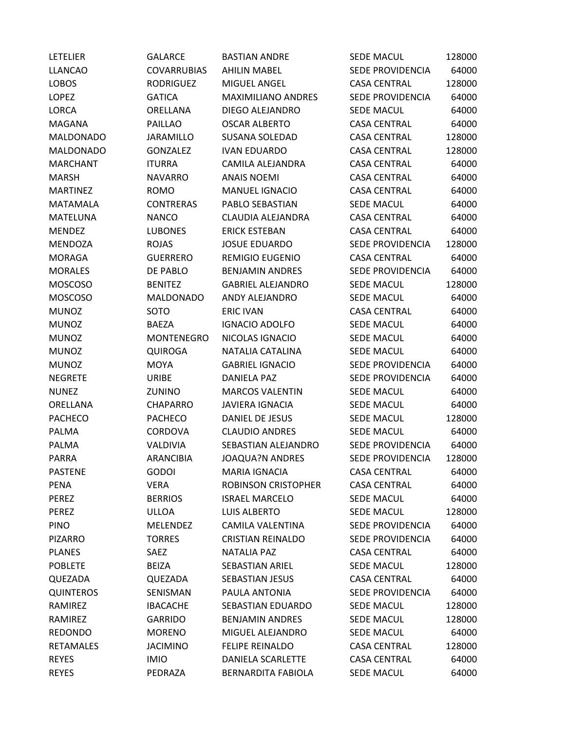| <b>LETELIER</b>  | <b>GALARCE</b>     | <b>BASTIAN ANDRE</b>       | SEDE MACUL              | 128000 |
|------------------|--------------------|----------------------------|-------------------------|--------|
| <b>LLANCAO</b>   | <b>COVARRUBIAS</b> | <b>AHILIN MABEL</b>        | SEDE PROVIDENCIA        | 64000  |
| <b>LOBOS</b>     | <b>RODRIGUEZ</b>   | <b>MIGUEL ANGEL</b>        | <b>CASA CENTRAL</b>     | 128000 |
| LOPEZ            | <b>GATICA</b>      | <b>MAXIMILIANO ANDRES</b>  | <b>SEDE PROVIDENCIA</b> | 64000  |
| <b>LORCA</b>     | ORELLANA           | DIEGO ALEJANDRO            | <b>SEDE MACUL</b>       | 64000  |
| MAGANA           | <b>PAILLAO</b>     | <b>OSCAR ALBERTO</b>       | <b>CASA CENTRAL</b>     | 64000  |
| <b>MALDONADO</b> | <b>JARAMILLO</b>   | <b>SUSANA SOLEDAD</b>      | <b>CASA CENTRAL</b>     | 128000 |
| <b>MALDONADO</b> | <b>GONZALEZ</b>    | <b>IVAN EDUARDO</b>        | <b>CASA CENTRAL</b>     | 128000 |
| <b>MARCHANT</b>  | <b>ITURRA</b>      | CAMILA ALEJANDRA           | <b>CASA CENTRAL</b>     | 64000  |
| <b>MARSH</b>     | <b>NAVARRO</b>     | <b>ANAIS NOEMI</b>         | <b>CASA CENTRAL</b>     | 64000  |
| <b>MARTINEZ</b>  | <b>ROMO</b>        | <b>MANUEL IGNACIO</b>      | <b>CASA CENTRAL</b>     | 64000  |
| <b>MATAMALA</b>  | <b>CONTRERAS</b>   | PABLO SEBASTIAN            | <b>SEDE MACUL</b>       | 64000  |
| MATELUNA         | <b>NANCO</b>       | CLAUDIA ALEJANDRA          | <b>CASA CENTRAL</b>     | 64000  |
| <b>MENDEZ</b>    | <b>LUBONES</b>     | <b>ERICK ESTEBAN</b>       | <b>CASA CENTRAL</b>     | 64000  |
| <b>MENDOZA</b>   | <b>ROJAS</b>       | <b>JOSUE EDUARDO</b>       | SEDE PROVIDENCIA        | 128000 |
| <b>MORAGA</b>    | <b>GUERRERO</b>    | <b>REMIGIO EUGENIO</b>     | <b>CASA CENTRAL</b>     | 64000  |
| <b>MORALES</b>   | DE PABLO           | <b>BENJAMIN ANDRES</b>     | SEDE PROVIDENCIA        | 64000  |
| <b>MOSCOSO</b>   | <b>BENITEZ</b>     | <b>GABRIEL ALEJANDRO</b>   | <b>SEDE MACUL</b>       | 128000 |
| <b>MOSCOSO</b>   | <b>MALDONADO</b>   | ANDY ALEJANDRO             | SEDE MACUL              | 64000  |
| <b>MUNOZ</b>     | SOTO               | <b>ERIC IVAN</b>           | <b>CASA CENTRAL</b>     | 64000  |
| <b>MUNOZ</b>     | <b>BAEZA</b>       | <b>IGNACIO ADOLFO</b>      | <b>SEDE MACUL</b>       | 64000  |
| <b>MUNOZ</b>     | <b>MONTENEGRO</b>  | NICOLAS IGNACIO            | <b>SEDE MACUL</b>       | 64000  |
| <b>MUNOZ</b>     | <b>QUIROGA</b>     | NATALIA CATALINA           | <b>SEDE MACUL</b>       | 64000  |
| <b>MUNOZ</b>     | <b>MOYA</b>        | <b>GABRIEL IGNACIO</b>     | SEDE PROVIDENCIA        | 64000  |
| <b>NEGRETE</b>   | URIBE              | DANIELA PAZ                | SEDE PROVIDENCIA        | 64000  |
| <b>NUNEZ</b>     | <b>ZUNINO</b>      | <b>MARCOS VALENTIN</b>     | <b>SEDE MACUL</b>       | 64000  |
| ORELLANA         | <b>CHAPARRO</b>    | <b>JAVIERA IGNACIA</b>     | SEDE MACUL              | 64000  |
| <b>PACHECO</b>   | <b>PACHECO</b>     | DANIEL DE JESUS            | SEDE MACUL              | 128000 |
| <b>PALMA</b>     | CORDOVA            | <b>CLAUDIO ANDRES</b>      | SEDE MACUL              | 64000  |
| PALMA            | VALDIVIA           | SEBASTIAN ALEJANDRO        | SEDE PROVIDENCIA        | 64000  |
| PARRA            | ARANCIBIA          | <b>JOAQUA?N ANDRES</b>     | SEDE PROVIDENCIA        | 128000 |
| <b>PASTENE</b>   | <b>GODOI</b>       | <b>MARIA IGNACIA</b>       | <b>CASA CENTRAL</b>     | 64000  |
| <b>PENA</b>      | <b>VERA</b>        | <b>ROBINSON CRISTOPHER</b> | <b>CASA CENTRAL</b>     | 64000  |
| <b>PEREZ</b>     | <b>BERRIOS</b>     | <b>ISRAEL MARCELO</b>      | <b>SEDE MACUL</b>       | 64000  |
| PEREZ            | <b>ULLOA</b>       | <b>LUIS ALBERTO</b>        | <b>SEDE MACUL</b>       | 128000 |
| <b>PINO</b>      | <b>MELENDEZ</b>    | <b>CAMILA VALENTINA</b>    | SEDE PROVIDENCIA        | 64000  |
| <b>PIZARRO</b>   | <b>TORRES</b>      | <b>CRISTIAN REINALDO</b>   | SEDE PROVIDENCIA        | 64000  |
| <b>PLANES</b>    | SAEZ               | <b>NATALIA PAZ</b>         | <b>CASA CENTRAL</b>     | 64000  |
| <b>POBLETE</b>   | <b>BEIZA</b>       | <b>SEBASTIAN ARIEL</b>     | SEDE MACUL              | 128000 |
| QUEZADA          | QUEZADA            | <b>SEBASTIAN JESUS</b>     | <b>CASA CENTRAL</b>     | 64000  |
| <b>QUINTEROS</b> | SENISMAN           | PAULA ANTONIA              | SEDE PROVIDENCIA        | 64000  |
| RAMIREZ          | <b>IBACACHE</b>    | SEBASTIAN EDUARDO          | <b>SEDE MACUL</b>       | 128000 |
| RAMIREZ          | <b>GARRIDO</b>     | <b>BENJAMIN ANDRES</b>     | <b>SEDE MACUL</b>       | 128000 |
| <b>REDONDO</b>   | <b>MORENO</b>      | MIGUEL ALEJANDRO           | SEDE MACUL              | 64000  |
| <b>RETAMALES</b> | <b>JACIMINO</b>    | <b>FELIPE REINALDO</b>     | <b>CASA CENTRAL</b>     | 128000 |
| <b>REYES</b>     | <b>IMIO</b>        | DANIELA SCARLETTE          | <b>CASA CENTRAL</b>     | 64000  |
| <b>REYES</b>     | PEDRAZA            | <b>BERNARDITA FABIOLA</b>  | SEDE MACUL              | 64000  |
|                  |                    |                            |                         |        |